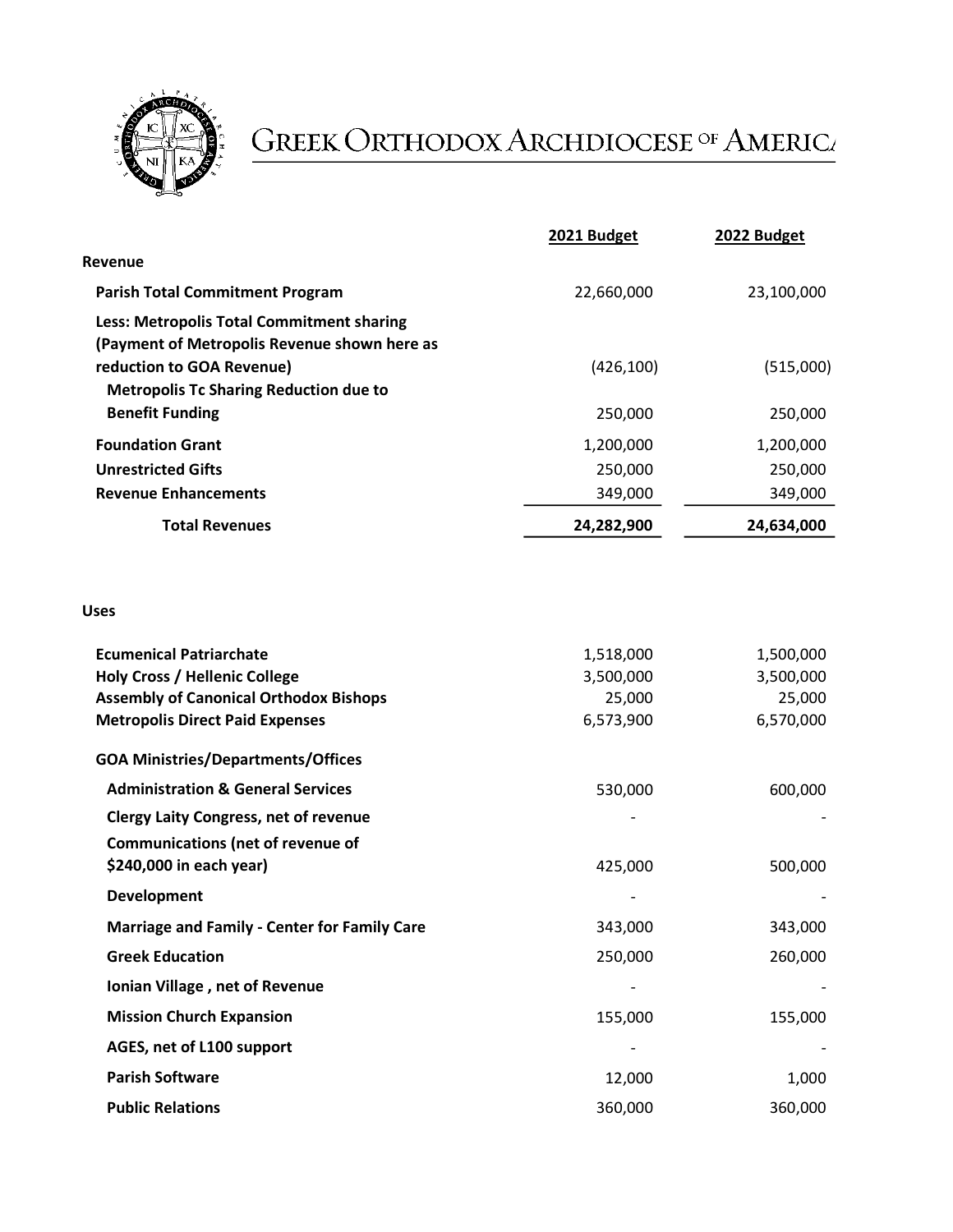

## GREEK ORTHODOX ARCHDIOCESE OF AMERICA

|                                                                                           | 2021 Budget | 2022 Budget |
|-------------------------------------------------------------------------------------------|-------------|-------------|
| Revenue                                                                                   |             |             |
| <b>Parish Total Commitment Program</b>                                                    | 22,660,000  | 23,100,000  |
| Less: Metropolis Total Commitment sharing<br>(Payment of Metropolis Revenue shown here as |             |             |
| reduction to GOA Revenue)<br><b>Metropolis Tc Sharing Reduction due to</b>                | (426, 100)  | (515,000)   |
| <b>Benefit Funding</b>                                                                    | 250,000     | 250,000     |
| <b>Foundation Grant</b>                                                                   | 1,200,000   | 1,200,000   |
| <b>Unrestricted Gifts</b>                                                                 | 250,000     | 250,000     |
| <b>Revenue Enhancements</b>                                                               | 349,000     | 349,000     |
| <b>Total Revenues</b>                                                                     | 24,282,900  | 24,634,000  |
|                                                                                           |             |             |
| <b>Uses</b>                                                                               |             |             |
| <b>Ecumenical Patriarchate</b>                                                            | 1,518,000   | 1,500,000   |
| <b>Holy Cross / Hellenic College</b>                                                      | 3,500,000   | 3,500,000   |
| <b>Assembly of Canonical Orthodox Bishops</b>                                             | 25,000      | 25,000      |
| <b>Metropolis Direct Paid Expenses</b>                                                    | 6,573,900   | 6,570,000   |
| <b>GOA Ministries/Departments/Offices</b>                                                 |             |             |
| <b>Administration &amp; General Services</b>                                              | 530,000     | 600,000     |
| <b>Clergy Laity Congress, net of revenue</b>                                              |             |             |
| <b>Communications (net of revenue of</b>                                                  |             |             |
| \$240,000 in each year)                                                                   | 425,000     | 500,000     |
| <b>Development</b>                                                                        |             |             |
| <b>Marriage and Family - Center for Family Care</b>                                       | 343,000     | 343,000     |
| <b>Greek Education</b>                                                                    | 250,000     | 260,000     |
| Ionian Village, net of Revenue                                                            |             |             |
| <b>Mission Church Expansion</b>                                                           | 155,000     | 155,000     |
| AGES, net of L100 support                                                                 |             |             |
| <b>Parish Software</b>                                                                    | 12,000      | 1,000       |
| <b>Public Relations</b>                                                                   | 360,000     | 360,000     |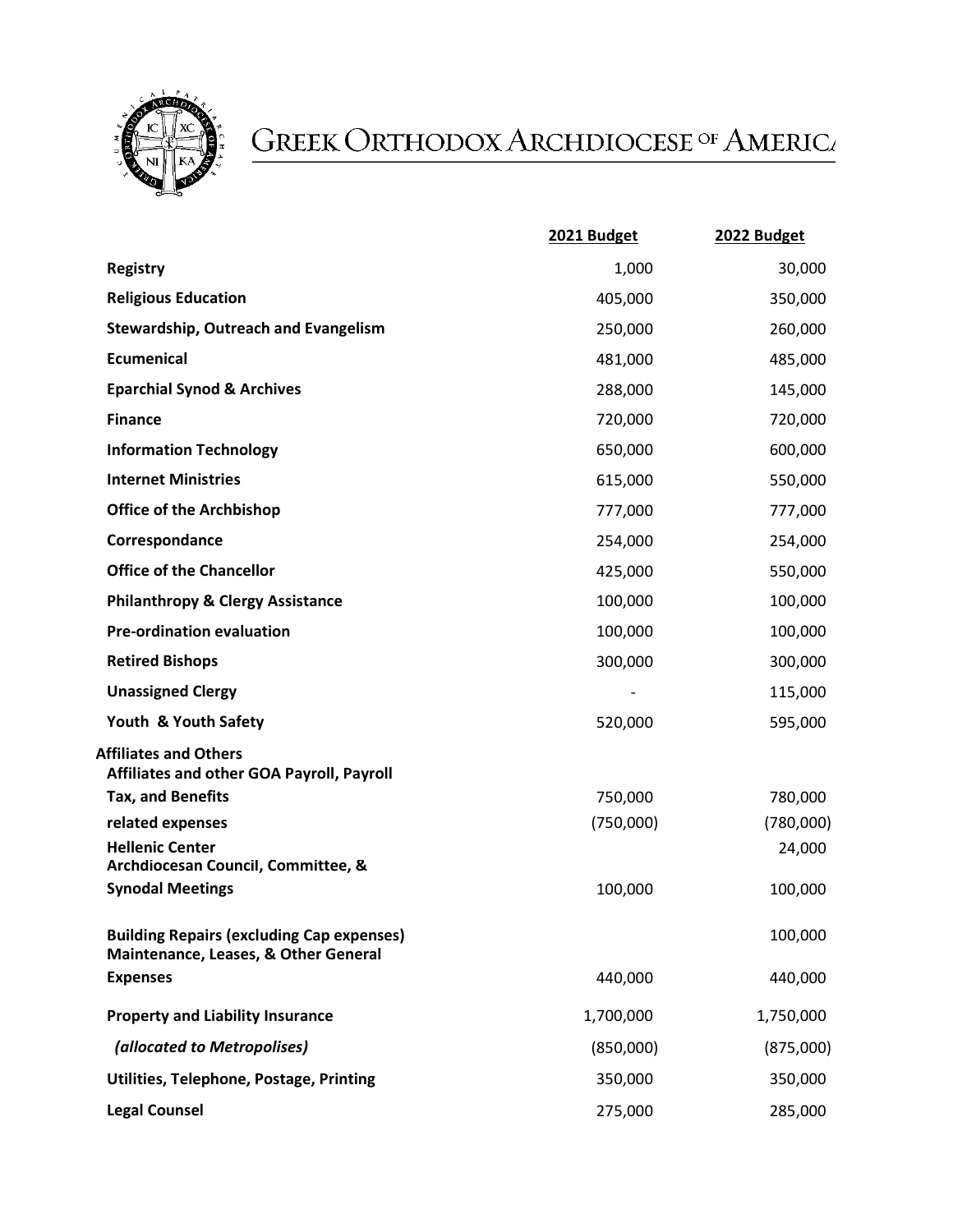

## GREEK ORTHODOX ARCHDIOCESE OF AMERICA

|                                                                                          | 2021 Budget | 2022 Budget |
|------------------------------------------------------------------------------------------|-------------|-------------|
| <b>Registry</b>                                                                          | 1,000       | 30,000      |
| <b>Religious Education</b>                                                               | 405,000     | 350,000     |
| Stewardship, Outreach and Evangelism                                                     | 250,000     | 260,000     |
| <b>Ecumenical</b>                                                                        | 481,000     | 485,000     |
| <b>Eparchial Synod &amp; Archives</b>                                                    | 288,000     | 145,000     |
| <b>Finance</b>                                                                           | 720,000     | 720,000     |
| <b>Information Technology</b>                                                            | 650,000     | 600,000     |
| <b>Internet Ministries</b>                                                               | 615,000     | 550,000     |
| <b>Office of the Archbishop</b>                                                          | 777,000     | 777,000     |
| Correspondance                                                                           | 254,000     | 254,000     |
| <b>Office of the Chancellor</b>                                                          | 425,000     | 550,000     |
| <b>Philanthropy &amp; Clergy Assistance</b>                                              | 100,000     | 100,000     |
| <b>Pre-ordination evaluation</b>                                                         | 100,000     | 100,000     |
| <b>Retired Bishops</b>                                                                   | 300,000     | 300,000     |
| <b>Unassigned Clergy</b>                                                                 |             | 115,000     |
| Youth & Youth Safety                                                                     | 520,000     | 595,000     |
| <b>Affiliates and Others</b><br>Affiliates and other GOA Payroll, Payroll                |             |             |
| Tax, and Benefits                                                                        | 750,000     | 780,000     |
| related expenses                                                                         | (750,000)   | (780,000)   |
| <b>Hellenic Center</b><br>Archdiocesan Council, Committee, &                             |             | 24,000      |
| <b>Synodal Meetings</b>                                                                  | 100,000     | 100,000     |
| <b>Building Repairs (excluding Cap expenses)</b><br>Maintenance, Leases, & Other General |             | 100,000     |
| <b>Expenses</b>                                                                          | 440,000     | 440,000     |
| <b>Property and Liability Insurance</b>                                                  | 1,700,000   | 1,750,000   |
| (allocated to Metropolises)                                                              | (850,000)   | (875,000)   |
| Utilities, Telephone, Postage, Printing                                                  | 350,000     | 350,000     |
| <b>Legal Counsel</b>                                                                     | 275,000     | 285,000     |
|                                                                                          |             |             |